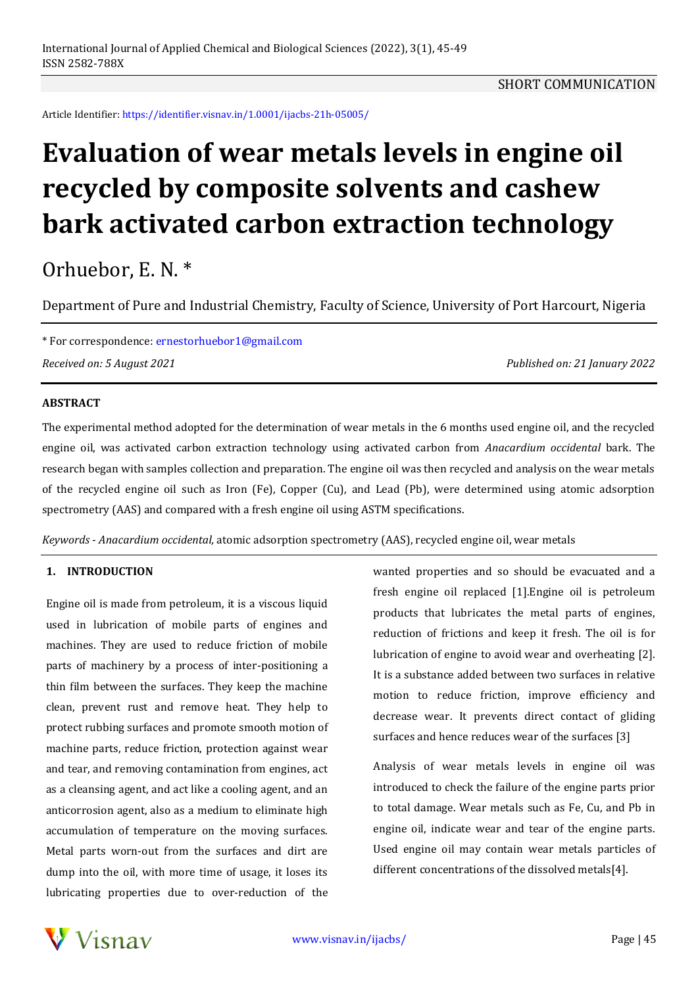Article Identifier: https://identifier.visnav.in/1.0001/ijacbs-21h-05005/

# **Evaluation of wear metals levels in engine oil recycled by composite solvents and cashew bark activated carbon extraction technology**

# Orhuebor, E. N. \*

Department of Pure and Industrial Chemistry, Faculty of Science, University of Port Harcourt, Nigeria

\* For correspondence: ernestorhuebor1@gmail.com *Received on: 5 August 2021 Published on: 21 January 2022*

## **ABSTRACT**

The experimental method adopted for the determination of wear metals in the 6 months used engine oil, and the recycled engine oil, was activated carbon extraction technology using activated carbon from *Anacardium occidental* bark. The research began with samples collection and preparation. The engine oil was then recycled and analysis on the wear metals of the recycled engine oil such as Iron (Fe), Copper (Cu), and Lead (Pb), were determined using atomic adsorption spectrometry (AAS) and compared with a fresh engine oil using ASTM specifications.

*Keywords* - *Anacardium occidental,* atomic adsorption spectrometry (AAS), recycled engine oil, wear metals

#### **1. INTRODUCTION**

Engine oil is made from petroleum, it is a viscous liquid used in lubrication of mobile parts of engines and machines. They are used to reduce friction of mobile parts of machinery by a process of inter-positioning a thin film between the surfaces. They keep the machine clean, prevent rust and remove heat. They help to protect rubbing surfaces and promote smooth motion of machine parts, reduce friction, protection against wear and tear, and removing contamination from engines, act as a cleansing agent, and act like a cooling agent, and an anticorrosion agent, also as a medium to eliminate high accumulation of temperature on the moving surfaces. Metal parts worn-out from the surfaces and dirt are dump into the oil, with more time of usage, it loses its lubricating properties due to over-reduction of the

wanted properties and so should be evacuated and a fresh engine oil replaced [1].Engine oil is petroleum products that lubricates the metal parts of engines, reduction of frictions and keep it fresh. The oil is for lubrication of engine to avoid wear and overheating [2]. It is a substance added between two surfaces in relative motion to reduce friction, improve efficiency and decrease wear. It prevents direct contact of gliding surfaces and hence reduces wear of the surfaces [3]

Analysis of wear metals levels in engine oil was introduced to check the failure of the engine parts prior to total damage. Wear metals such as Fe, Cu, and Pb in engine oil, indicate wear and tear of the engine parts. Used engine oil may contain wear metals particles of different concentrations of the dissolved metals[4].

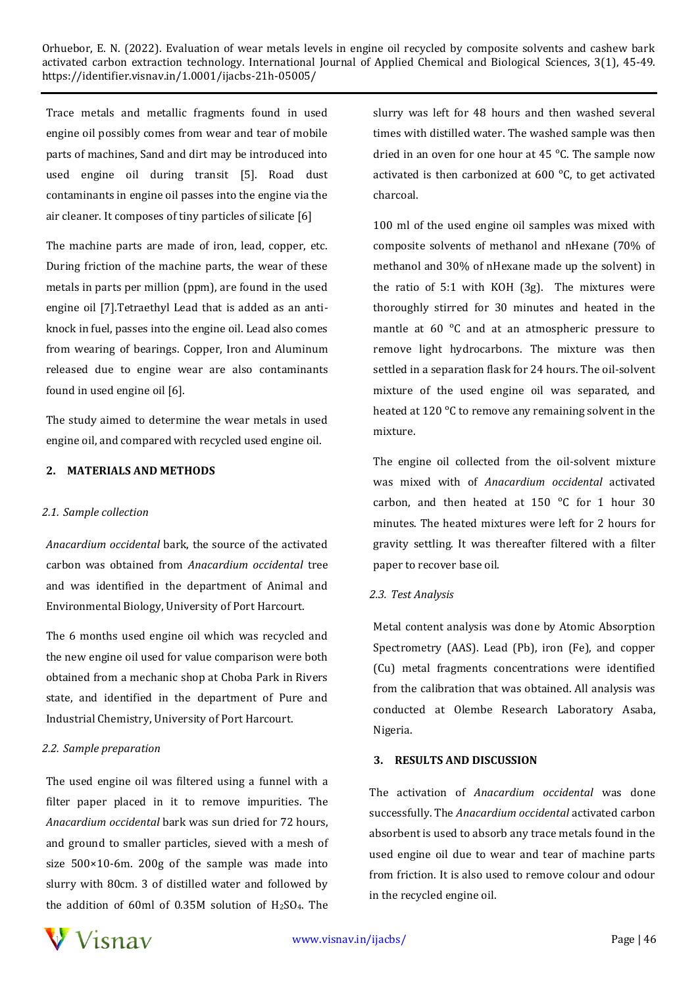Trace metals and metallic fragments found in used engine oil possibly comes from wear and tear of mobile parts of machines, Sand and dirt may be introduced into used engine oil during transit [5]. Road dust contaminants in engine oil passes into the engine via the air cleaner. It composes of tiny particles of silicate [6]

The machine parts are made of iron, lead, copper, etc. During friction of the machine parts, the wear of these metals in parts per million (ppm), are found in the used engine oil [7].Tetraethyl Lead that is added as an antiknock in fuel, passes into the engine oil. Lead also comes from wearing of bearings. Copper, Iron and Aluminum released due to engine wear are also contaminants found in used engine oil [6].

The study aimed to determine the wear metals in used engine oil, and compared with recycled used engine oil.

#### **2. MATERIALS AND METHODS**

#### *2.1. Sample collection*

*Anacardium occidental* bark, the source of the activated carbon was obtained from *Anacardium occidental* tree and was identified in the department of Animal and Environmental Biology, University of Port Harcourt.

The 6 months used engine oil which was recycled and the new engine oil used for value comparison were both obtained from a mechanic shop at Choba Park in Rivers state, and identified in the department of Pure and Industrial Chemistry, University of Port Harcourt.

#### *2.2. Sample preparation*

The used engine oil was filtered using a funnel with a filter paper placed in it to remove impurities. The *Anacardium occidental* bark was sun dried for 72 hours, and ground to smaller particles, sieved with a mesh of size 500×10-6m. 200g of the sample was made into slurry with 80cm. 3 of distilled water and followed by the addition of 60ml of 0.35M solution of  $H<sub>2</sub>SO<sub>4</sub>$ . The

slurry was left for 48 hours and then washed several times with distilled water. The washed sample was then dried in an oven for one hour at 45  $^{\circ}$ C. The sample now activated is then carbonized at 600 °C, to get activated charcoal.

100 ml of the used engine oil samples was mixed with composite solvents of methanol and nHexane (70% of methanol and 30% of nHexane made up the solvent) in the ratio of 5:1 with KOH (3g). The mixtures were thoroughly stirred for 30 minutes and heated in the mantle at  $60^\circ$ C and at an atmospheric pressure to remove light hydrocarbons. The mixture was then settled in a separation flask for 24 hours. The oil-solvent mixture of the used engine oil was separated, and heated at 120 °C to remove any remaining solvent in the mixture.

The engine oil collected from the oil-solvent mixture was mixed with of *Anacardium occidental* activated carbon, and then heated at 150  $^{\circ}$ C for 1 hour 30 minutes. The heated mixtures were left for 2 hours for gravity settling. It was thereafter filtered with a filter paper to recover base oil.

#### *2.3. Test Analysis*

Metal content analysis was done by Atomic Absorption Spectrometry (AAS). Lead (Pb), iron (Fe), and copper (Cu) metal fragments concentrations were identified from the calibration that was obtained. All analysis was conducted at Olembe Research Laboratory Asaba, Nigeria.

#### **3. RESULTS AND DISCUSSION**

The activation of *Anacardium occidental* was done successfully. The *Anacardium occidental* activated carbon absorbent is used to absorb any trace metals found in the used engine oil due to wear and tear of machine parts from friction. It is also used to remove colour and odour in the recycled engine oil.

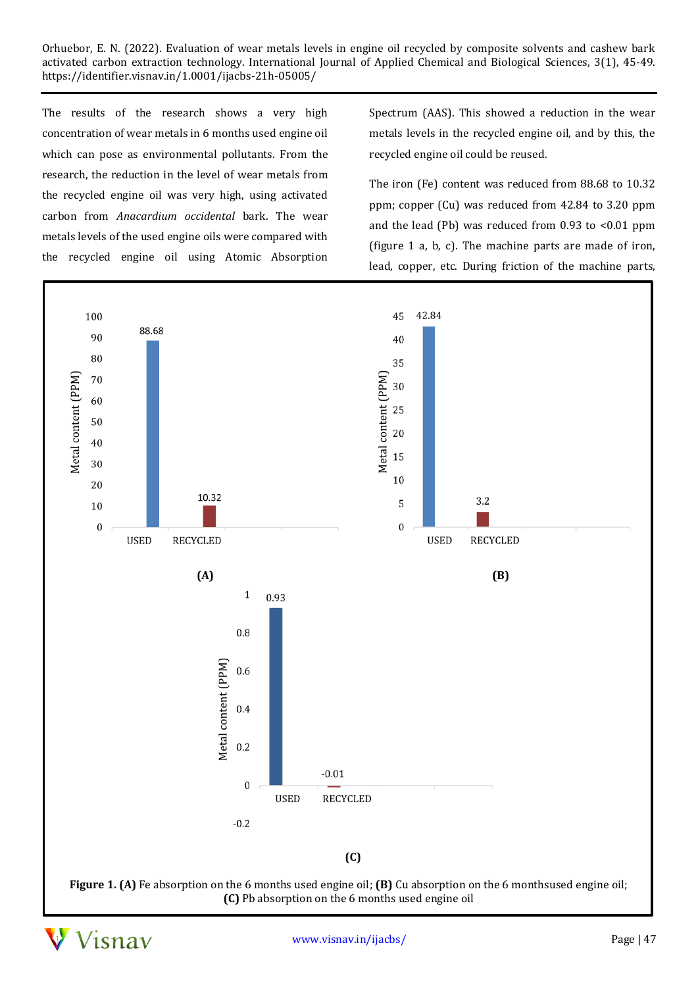The results of the research shows a very high concentration of wear metals in 6 months used engine oil which can pose as environmental pollutants. From the research, the reduction in the level of wear metals from the recycled engine oil was very high, using activated carbon from *Anacardium occidental* bark. The wear metals levels of the used engine oils were compared with the recycled engine oil using Atomic Absorption

Spectrum (AAS). This showed a reduction in the wear metals levels in the recycled engine oil, and by this, the recycled engine oil could be reused.

The iron (Fe) content was reduced from 88.68 to 10.32 ppm; copper (Cu) was reduced from 42.84 to 3.20 ppm and the lead (Pb) was reduced from 0.93 to <0.01 ppm (figure 1 a, b, c). The machine parts are made of iron, lead, copper, etc. During friction of the machine parts,





www.visnav.in/ijacbs/ Page | 47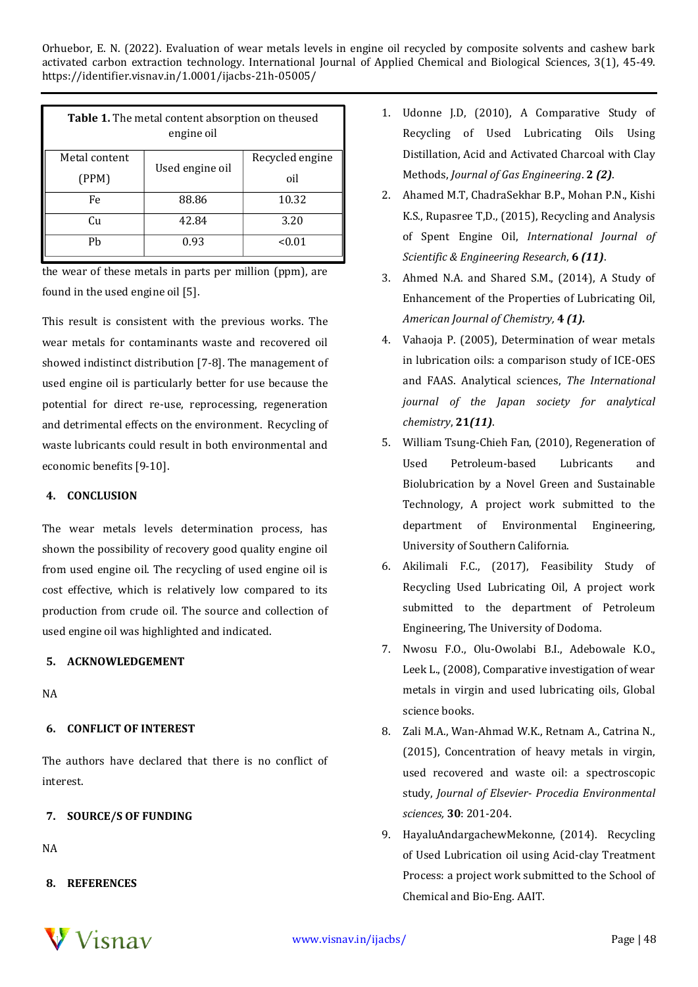| <b>Table 1.</b> The metal content absorption on theused<br>engine oil |                 |                 |
|-----------------------------------------------------------------------|-----------------|-----------------|
| Metal content                                                         | Used engine oil | Recycled engine |
| (PPM)                                                                 |                 | oil             |
| Fe                                                                    | 88.86           | 10.32           |
| Cu                                                                    | 42.84           | 3.20            |
| Ph                                                                    | 0.93            | < 0.01          |

the wear of these metals in parts per million (ppm), are found in the used engine oil [5].

This result is consistent with the previous works. The wear metals for contaminants waste and recovered oil showed indistinct distribution [7-8]. The management of used engine oil is particularly better for use because the potential for direct re-use, reprocessing, regeneration and detrimental effects on the environment. Recycling of waste lubricants could result in both environmental and economic benefits [9-10].

## **4. CONCLUSION**

The wear metals levels determination process, has shown the possibility of recovery good quality engine oil from used engine oil. The recycling of used engine oil is cost effective, which is relatively low compared to its production from crude oil. The source and collection of used engine oil was highlighted and indicated.

# **5. ACKNOWLEDGEMENT**

NA

# **6. CONFLICT OF INTEREST**

The authors have declared that there is no conflict of interest.

# **7. SOURCE/S OF FUNDING**

NA

**8. REFERENCES**



- 2. Ahamed M.T, ChadraSekhar B.P., Mohan P.N., Kishi K.S., Rupasree T,D., (2015), Recycling and Analysis of Spent Engine Oil, *International Journal of Scientific & Engineering Research*, **6** *(11)*.
- 3. Ahmed N.A. and Shared S.M., (2014), A Study of Enhancement of the Properties of Lubricating Oil, *American Journal of Chemistry,* **4** *(1).*
- 4. Vahaoja P. (2005), Determination of wear metals in lubrication oils: a comparison study of ICE-OES and FAAS. Analytical sciences, *The International journal of the Japan society for analytical chemistry*, **21***(11)*.
- 5. William Tsung-Chieh Fan, (2010), Regeneration of Used Petroleum-based Lubricants and Biolubrication by a Novel Green and Sustainable Technology, A project work submitted to the department of Environmental Engineering, University of Southern California.
- 6. Akilimali F.C., (2017), Feasibility Study of Recycling Used Lubricating Oil, A project work submitted to the department of Petroleum Engineering, The University of Dodoma.
- 7. Nwosu F.O., Olu-Owolabi B.I., Adebowale K.O., Leek L., (2008), Comparative investigation of wear metals in virgin and used lubricating oils, Global science books.
- 8. Zali M.A., Wan-Ahmad W.K., Retnam A., Catrina N., (2015), Concentration of heavy metals in virgin, used recovered and waste oil: a spectroscopic study, *Journal of Elsevier- Procedia Environmental sciences,* **30**: 201-204.
- 9. HayaluAndargachewMekonne, (2014). Recycling of Used Lubrication oil using Acid-clay Treatment Process: a project work submitted to the School of Chemical and Bio-Eng. AAIT.